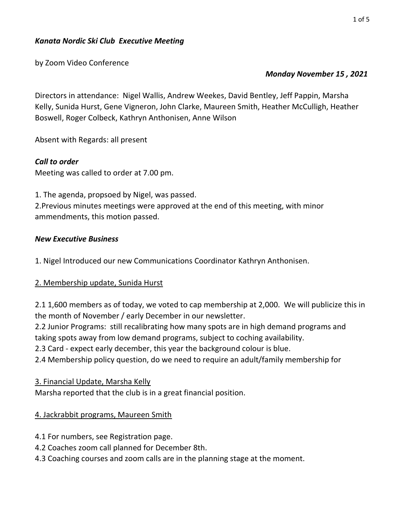by Zoom Video Conference

### Monday November 15 , 2021

Directors in attendance: Nigel Wallis, Andrew Weekes, David Bentley, Jeff Pappin, Marsha Kelly, Sunida Hurst, Gene Vigneron, John Clarke, Maureen Smith, Heather McCulligh, Heather Boswell, Roger Colbeck, Kathryn Anthonisen, Anne Wilson

Absent with Regards: all present

## Call to order

Meeting was called to order at 7.00 pm.

1. The agenda, propsoed by Nigel, was passed.

2.Previous minutes meetings were approved at the end of this meeting, with minor ammendments, this motion passed.

### New Executive Business

1. Nigel Introduced our new Communications Coordinator Kathryn Anthonisen.

## 2. Membership update, Sunida Hurst

2.1 1,600 members as of today, we voted to cap membership at 2,000. We will publicize this in the month of November / early December in our newsletter.

2.2 Junior Programs: still recalibrating how many spots are in high demand programs and taking spots away from low demand programs, subject to coching availability.

2.3 Card - expect early december, this year the background colour is blue.

2.4 Membership policy question, do we need to require an adult/family membership for

3. Financial Update, Marsha Kelly

Marsha reported that the club is in a great financial position.

# 4. Jackrabbit programs, Maureen Smith

- 4.1 For numbers, see Registration page.
- 4.2 Coaches zoom call planned for December 8th.
- 4.3 Coaching courses and zoom calls are in the planning stage at the moment.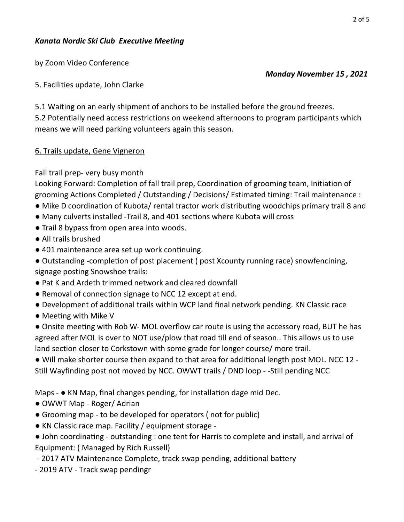by Zoom Video Conference

### 5. Facilities update, John Clarke

5.1 Waiting on an early shipment of anchors to be installed before the ground freezes. 5.2 Potentially need access restrictions on weekend afternoons to program participants which means we will need parking volunteers again this season.

### 6. Trails update, Gene Vigneron

## Fall trail prep- very busy month

Looking Forward: Completion of fall trail prep, Coordination of grooming team, Initiation of grooming Actions Completed / Outstanding / Decisions/ Estimated timing: Trail maintenance :

- Mike D coordination of Kubota/ rental tractor work distributing woodchips primary trail 8 and
- Many culverts installed -Trail 8, and 401 sections where Kubota will cross
- Trail 8 bypass from open area into woods.
- All trails brushed
- 401 maintenance area set up work continuing.
- Outstanding -completion of post placement (post Xcounty running race) snowfencining, signage posting Snowshoe trails:
- Pat K and Ardeth trimmed network and cleared downfall
- Removal of connection signage to NCC 12 except at end.
- Development of addiƟonal trails within WCP land final network pending. KN Classic race
- Meeting with Mike V

• Onsite meeting with Rob W- MOL overflow car route is using the accessory road, BUT he has agreed after MOL is over to NOT use/plow that road till end of season.. This allows us to use land section closer to Corkstown with some grade for longer course/ more trail.

• Will make shorter course then expand to that area for additional length post MOL. NCC 12 -Still Wayfinding post not moved by NCC. OWWT trails / DND loop - -Still pending NCC

Maps  $\bullet$  KN Map, final changes pending, for installation dage mid Dec.

- OWWT Map Roger/ Adrian
- Grooming map to be developed for operators ( not for public)
- KN Classic race map. Facility / equipment storage -
- John coordinating outstanding : one tent for Harris to complete and install, and arrival of Equipment: ( Managed by Rich Russell)
- 2017 ATV Maintenance Complete, track swap pending, additional battery
- 2019 ATV Track swap pendingr

#### Monday November 15 , 2021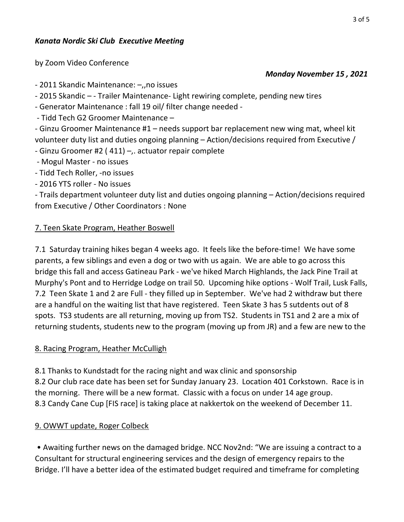by Zoom Video Conference

- 2011 Skandic Maintenance: –,,no issues

- 2015 Skandic – - Trailer Maintenance- Light rewiring complete, pending new tires

- Generator Maintenance : fall 19 oil/ filter change needed -

- Tidd Tech G2 Groomer Maintenance –

- Ginzu Groomer Maintenance #1 – needs support bar replacement new wing mat, wheel kit volunteer duty list and duties ongoing planning – Action/decisions required from Executive /

- Ginzu Groomer #2 ( 411) –,. actuator repair complete

- Mogul Master - no issues

- Tidd Tech Roller, -no issues

- 2016 YTS roller - No issues

- Trails department volunteer duty list and duties ongoing planning – Action/decisions required from Executive / Other Coordinators : None

## 7. Teen Skate Program, Heather Boswell

7.1 Saturday training hikes began 4 weeks ago. It feels like the before-time! We have some parents, a few siblings and even a dog or two with us again. We are able to go across this bridge this fall and access Gatineau Park - we've hiked March Highlands, the Jack Pine Trail at Murphy's Pont and to Herridge Lodge on trail 50. Upcoming hike options - Wolf Trail, Lusk Falls, 7.2 Teen Skate 1 and 2 are Full - they filled up in September. We've had 2 withdraw but there are a handful on the waiting list that have registered. Teen Skate 3 has 5 sutdents out of 8 spots. TS3 students are all returning, moving up from TS2. Students in TS1 and 2 are a mix of returning students, students new to the program (moving up from JR) and a few are new to the

## 8. Racing Program, Heather McCulligh

8.1 Thanks to Kundstadt for the racing night and wax clinic and sponsorship 8.2 Our club race date has been set for Sunday January 23. Location 401 Corkstown. Race is in the morning. There will be a new format. Classic with a focus on under 14 age group. 8.3 Candy Cane Cup [FIS race] is taking place at nakkertok on the weekend of December 11.

# 9. OWWT update, Roger Colbeck

 • Awaiting further news on the damaged bridge. NCC Nov2nd: "We are issuing a contract to a Consultant for structural engineering services and the design of emergency repairs to the Bridge. I'll have a better idea of the estimated budget required and timeframe for completing

#### Monday November 15 , 2021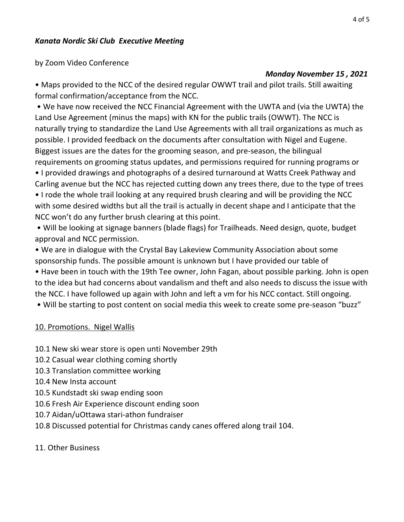by Zoom Video Conference

### Monday November 15 , 2021

• Maps provided to the NCC of the desired regular OWWT trail and pilot trails. Still awaiting formal confirmation/acceptance from the NCC.

 • We have now received the NCC Financial Agreement with the UWTA and (via the UWTA) the Land Use Agreement (minus the maps) with KN for the public trails (OWWT). The NCC is naturally trying to standardize the Land Use Agreements with all trail organizations as much as possible. I provided feedback on the documents after consultation with Nigel and Eugene. Biggest issues are the dates for the grooming season, and pre-season, the bilingual requirements on grooming status updates, and permissions required for running programs or

• I provided drawings and photographs of a desired turnaround at Watts Creek Pathway and Carling avenue but the NCC has rejected cutting down any trees there, due to the type of trees • I rode the whole trail looking at any required brush clearing and will be providing the NCC with some desired widths but all the trail is actually in decent shape and I anticipate that the NCC won't do any further brush clearing at this point.

 • Will be looking at signage banners (blade flags) for Trailheads. Need design, quote, budget approval and NCC permission.

• We are in dialogue with the Crystal Bay Lakeview Community Association about some sponsorship funds. The possible amount is unknown but I have provided our table of • Have been in touch with the 19th Tee owner, John Fagan, about possible parking. John is open to the idea but had concerns about vandalism and theft and also needs to discuss the issue with the NCC. I have followed up again with John and left a vm for his NCC contact. Still ongoing.

• Will be starting to post content on social media this week to create some pre-season "buzz"

## 10. Promotions. Nigel Wallis

- 10.1 New ski wear store is open unti November 29th
- 10.2 Casual wear clothing coming shortly
- 10.3 Translation committee working
- 10.4 New Insta account
- 10.5 Kundstadt ski swap ending soon
- 10.6 Fresh Air Experience discount ending soon
- 10.7 Aidan/uOttawa stari-athon fundraiser
- 10.8 Discussed potential for Christmas candy canes offered along trail 104.

### 11. Other Business